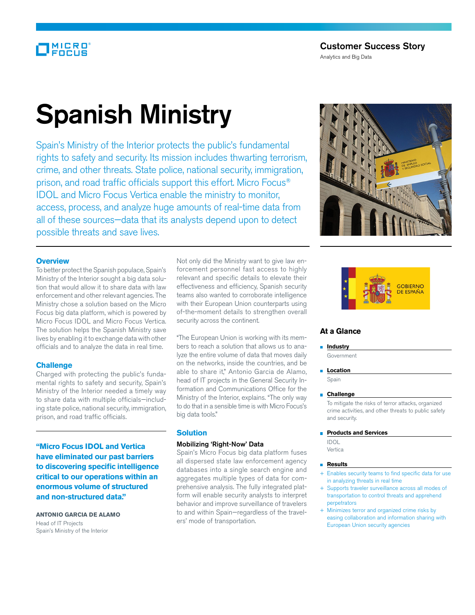# MICRO

Analytics and Big Data

# Spanish Ministry

Spain's Ministry of the Interior protects the public's fundamental rights to safety and security. Its mission includes thwarting terrorism, crime, and other threats. State police, national security, immigration, prison, and road traffic officials support this effort. Micro Focus® IDOL and Micro Focus Vertica enable the ministry to monitor, access, process, and analyze huge amounts of real-time data from all of these sources—data that its analysts depend upon to detect possible threats and save lives.

#### **Overview**

To better protect the Spanish populace, Spain's Ministry of the Interior sought a big data solution that would allow it to share data with law enforcement and other relevant agencies. The Ministry chose a solution based on the Micro Focus big data platform, which is powered by Micro Focus IDOL and Micro Focus Vertica. The solution helps the Spanish Ministry save lives by enabling it to exchange data with other officials and to analyze the data in real time.

## **Challenge**

Charged with protecting the public's fundamental rights to safety and security, Spain's Ministry of the Interior needed a timely way to share data with multiple officials—including state police, national security, immigration, prison, and road traffic officials.

**"Micro Focus IDOL and Vertica have eliminated our past barriers to discovering specific intelligence critical to our operations within an enormous volume of structured and non-structured data."**

#### **Antonio Garcia de Alamo** Head of IT Projects Spain's Ministry of the Interior

Not only did the Ministry want to give law enforcement personnel fast access to highly relevant and specific details to elevate their effectiveness and efficiency, Spanish security teams also wanted to corroborate intelligence with their European Union counterparts using of-the-moment details to strengthen overall security across the continent.

"The European Union is working with its members to reach a solution that allows us to analyze the entire volume of data that moves daily on the networks, inside the countries, and be able to share it," Antonio Garcia de Alamo, head of IT projects in the General Security Information and Communications Office for the Ministry of the Interior, explains. "The only way to do that in a sensible time is with Micro Focus's big data tools."

### **Solution**

#### Mobilizing 'Right-Now' Data

Spain's Micro Focus big data platform fuses all dispersed state law enforcement agency databases into a single search engine and aggregates multiple types of data for comprehensive analysis. The fully integrated platform will enable security analysts to interpret behavior and improve surveillance of travelers to and within Spain—regardless of the travelers' mode of transportation.





# **At a Glance**

#### **Industry**

- Government
- **Location** Spain

#### **Challenge**

 To mitigate the risks of terror attacks, organized crime activities, and other threats to public safety and security.

#### **Products and Services**

 IDOL Vertica

#### **Results**

- + Enables security teams to find specific data for use in analyzing threats in real time
- + Supports traveler surveillance across all modes of transportation to control threats and apprehend perpetrators
- + Minimizes terror and organized crime risks by easing collaboration and information sharing with European Union security agencies